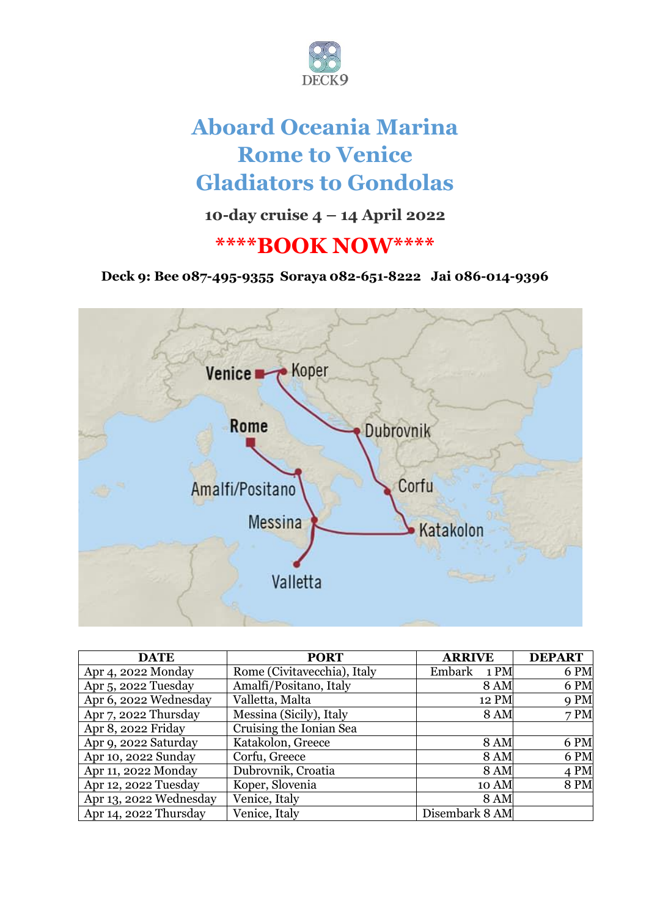

# **Aboard Oceania Marina Rome to Venice Gladiators to Gondolas**

## **10-day cruise 4 – 14 April 2022**

## **\*\*\*\*BOOK NOW\*\*\*\***

**Deck 9: Bee 087-495-9355 Soraya 082-651-8222 Jai 086-014-9396**



| <b>DATE</b>            | <b>PORT</b>                 | <b>ARRIVE</b>  | <b>DEPART</b> |
|------------------------|-----------------------------|----------------|---------------|
| Apr 4, 2022 Monday     | Rome (Civitavecchia), Italy | Embark<br>1 PM | 6 PM          |
| Apr 5, 2022 Tuesday    | Amalfi/Positano, Italy      | <b>8 AM</b>    | 6 PM          |
| Apr 6, 2022 Wednesday  | Valletta, Malta             | 12 PM          | 9 PM          |
| Apr 7, 2022 Thursday   | Messina (Sicily), Italy     | <b>8 AM</b>    | 7PM           |
| Apr 8, 2022 Friday     | Cruising the Ionian Sea     |                |               |
| Apr 9, 2022 Saturday   | Katakolon, Greece           | <b>8 AM</b>    | 6 PM          |
| Apr 10, 2022 Sunday    | Corfu, Greece               | <b>8 AM</b>    | 6 PM          |
| Apr 11, 2022 Monday    | Dubrovnik, Croatia          | <b>8 AM</b>    | 4 PM          |
| Apr 12, 2022 Tuesday   | Koper, Slovenia             | 10 AM          | <b>8 PM</b>   |
| Apr 13, 2022 Wednesday | Venice, Italy               | <b>8 AM</b>    |               |
| Apr 14, 2022 Thursday  | Venice, Italy               | Disembark 8 AM |               |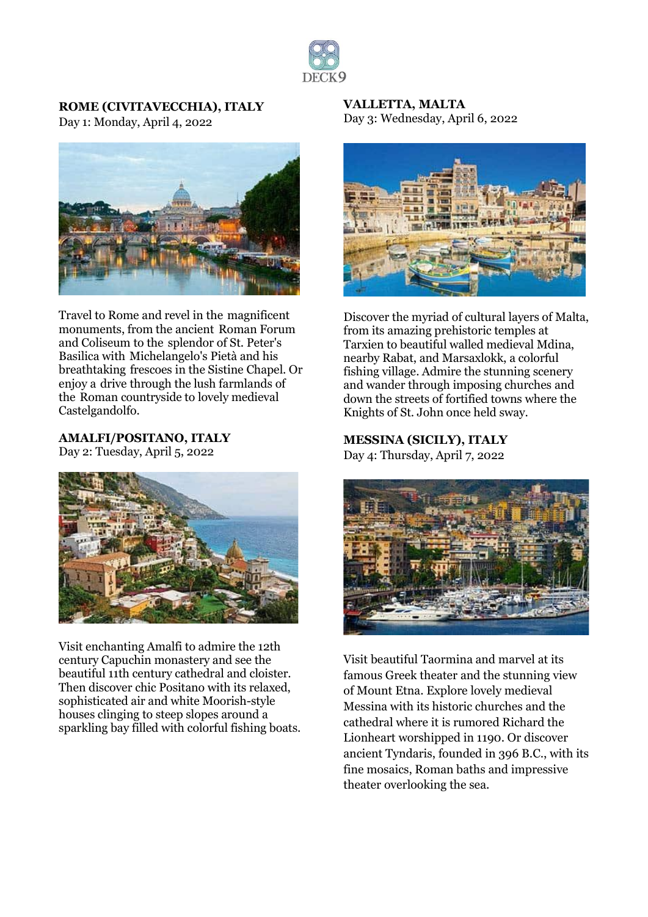

**ROME (CIVITAVECCHIA), ITALY** Day 1: Monday, April 4, 2022



Travel to Rome and revel in the magnificent monuments, from the ancient Roman Forum and Coliseum to the splendor of St. Peter's Basilica with Michelangelo's Pietà and his breathtaking frescoes in the Sistine Chapel. Or enjoy a drive through the lush farmlands of the Roman countryside to lovely medieval Castelgandolfo.

**AMALFI/POSITANO, ITALY** Day 2: Tuesday, April 5, 2022



Visit enchanting Amalfi to admire the 12th century Capuchin monastery and see the beautiful 11th century cathedral and cloister. Then discover chic Positano with its relaxed, sophisticated air and white Moorish-style houses clinging to steep slopes around a sparkling bay filled with colorful fishing boats. **VALLETTA, MALTA** Day 3: Wednesday, April 6, 2022



Discover the myriad of cultural layers of Malta, from its amazing prehistoric temples at Tarxien to beautiful walled medieval Mdina, nearby Rabat, and Marsaxlokk, a colorful fishing village. Admire the stunning scenery and wander through imposing churches and down the streets of fortified towns where the Knights of St. John once held sway.

**MESSINA (SICILY), ITALY** Day 4: Thursday, April 7, 2022



Visit beautiful Taormina and marvel at its famous Greek theater and the stunning view of Mount Etna. Explore lovely medieval Messina with its historic churches and the cathedral where it is rumored Richard the Lionheart worshipped in 1190. Or discover ancient Tyndaris, founded in 396 B.C., with its fine mosaics, Roman baths and impressive theater overlooking the sea.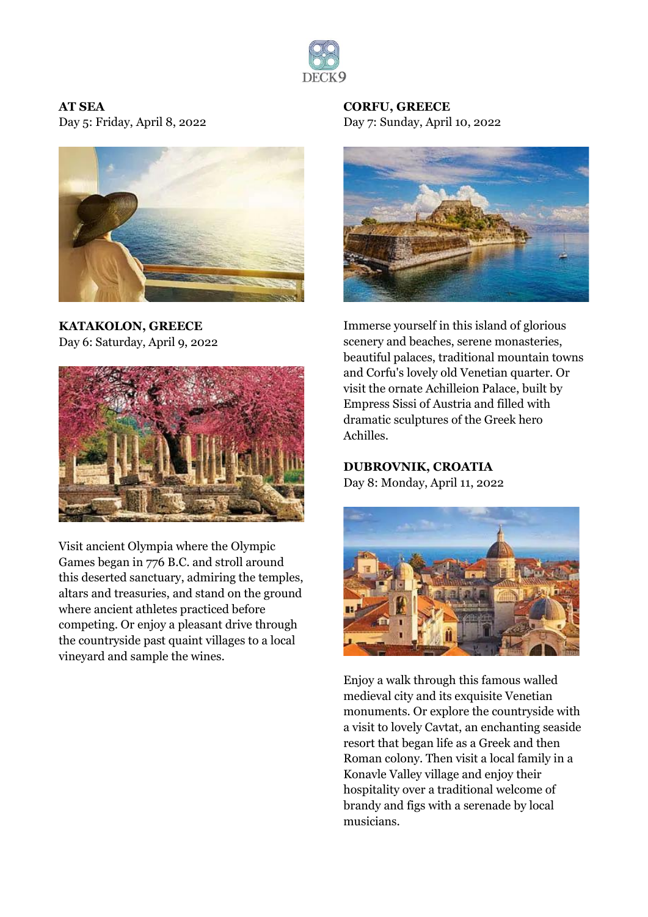

#### **AT SEA**

Day 5: Friday, April 8, 2022



**KATAKOLON, GREECE** Day 6: Saturday, April 9, 2022



Visit ancient Olympia where the Olympic Games began in 776 B.C. and stroll around this deserted sanctuary, admiring the temples, altars and treasuries, and stand on the ground where ancient athletes practiced before competing. Or enjoy a pleasant drive through the countryside past quaint villages to a local vineyard and sample the wines.

**CORFU, GREECE** Day 7: Sunday, April 10, 2022



Immerse yourself in this island of glorious scenery and beaches, serene monasteries, beautiful palaces, traditional mountain towns and Corfu's lovely old Venetian quarter. Or visit the ornate Achilleion Palace, built by Empress Sissi of Austria and filled with dramatic sculptures of the Greek hero Achilles.

**DUBROVNIK, CROATIA**

Day 8: Monday, April 11, 2022



Enjoy a walk through this famous walled medieval city and its exquisite Venetian monuments. Or explore the countryside with a visit to lovely Cavtat, an enchanting seaside resort that began life as a Greek and then Roman colony. Then visit a local family in a Konavle Valley village and enjoy their hospitality over a traditional welcome of brandy and figs with a serenade by local musicians.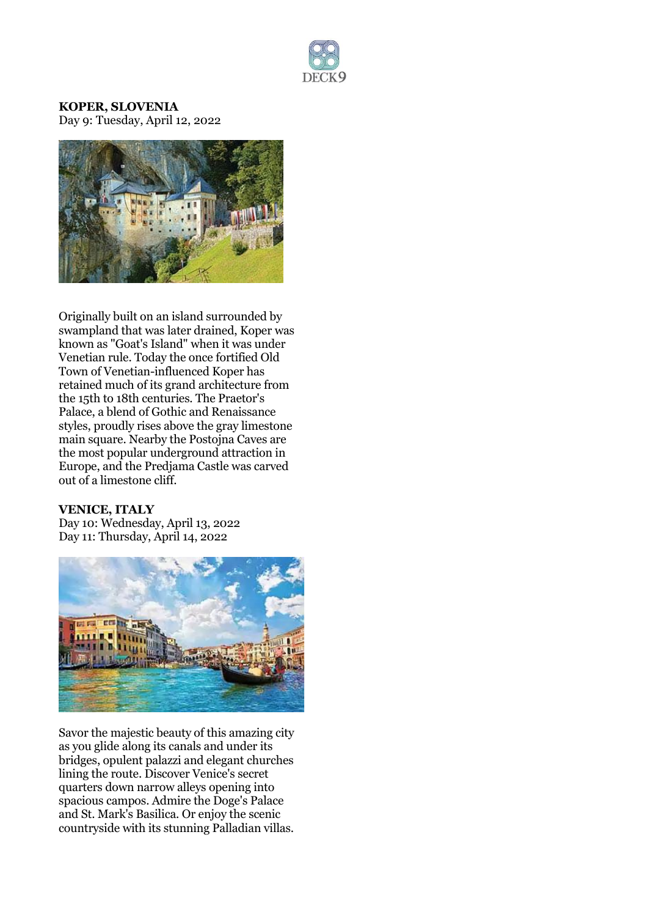

**KOPER, SLOVENIA** Day 9: Tuesday, April 12, 2022



Originally built on an island surrounded by swampland that was later drained, Koper was known as "Goat's Island" when it was under Venetian rule. Today the once fortified Old Town of Venetian-influenced Koper has retained much of its grand architecture from the 15th to 18th centuries. The Praetor's Palace, a blend of Gothic and Renaissance styles, proudly rises above the gray limestone main square. Nearby the Postojna Caves are the most popular underground attraction in Europe, and the Predjama Castle was carved out of a limestone cliff.

#### **VENICE, ITALY**

Day 10: Wednesday, April 13, 2022 Day 11: Thursday, April 14, 2022



Savor the majestic beauty of this amazing city as you glide along its canals and under its bridges, opulent palazzi and elegant churches lining the route. Discover Venice's secret quarters down narrow alleys opening into spacious campos. Admire the Doge's Palace and St. Mark's Basilica. Or enjoy the scenic countryside with its stunning Palladian villas.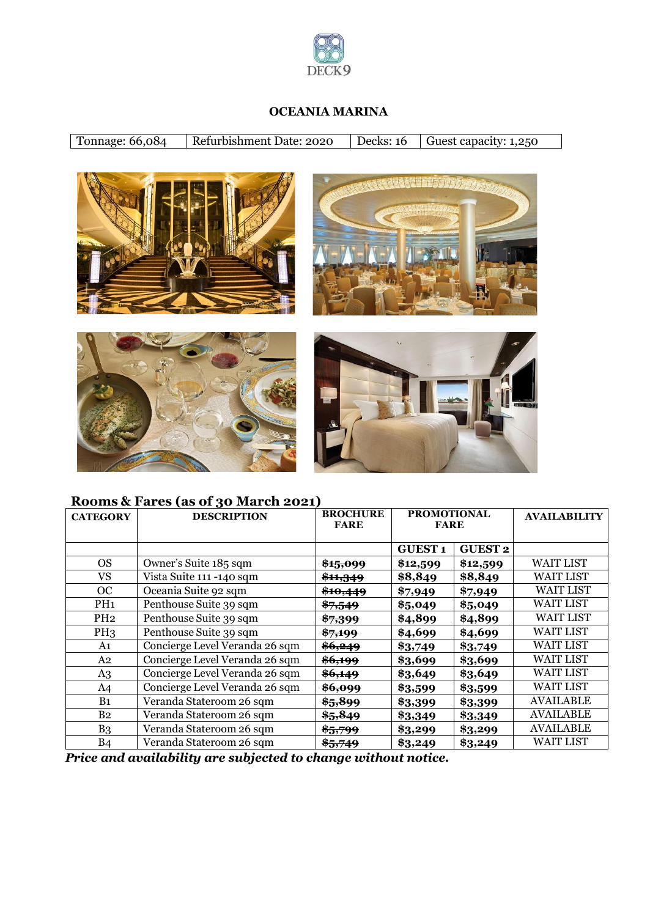

#### **OCEANIA MARINA**

| Tonnage: 66,084 | Refurbishment Date: 2020 | Decks: $16$ Guest capacity: 1,250 |
|-----------------|--------------------------|-----------------------------------|
|                 |                          |                                   |









### **Rooms & Fares (as of 30 March 2021)**

| <b>CATEGORY</b> | <b>DESCRIPTION</b>             | <b>BROCHURE</b><br><b>FARE</b> | <b>PROMOTIONAL</b><br><b>FARE</b> |                | <b>AVAILABILITY</b> |
|-----------------|--------------------------------|--------------------------------|-----------------------------------|----------------|---------------------|
|                 |                                |                                | <b>GUEST1</b>                     | <b>GUEST 2</b> |                     |
| <b>OS</b>       | Owner's Suite 185 sqm          | <del>\$15,099</del>            | \$12,599                          | \$12,599       | <b>WAIT LIST</b>    |
| <b>VS</b>       | Vista Suite 111 -140 sqm       | <del>\$11,349</del>            | \$8,849                           | \$8,849        | <b>WAIT LIST</b>    |
| OC              | Oceania Suite 92 sqm           | \$10,449                       | \$7,949                           | \$7,949        | <b>WAIT LIST</b>    |
| PH <sub>1</sub> | Penthouse Suite 39 sqm         | $*7,549$                       | \$5,049                           | \$5,049        | <b>WAIT LIST</b>    |
| PH <sub>2</sub> | Penthouse Suite 39 sqm         | <del>\$7,399</del>             | \$4,899                           | \$4,899        | <b>WAIT LIST</b>    |
| PH <sub>3</sub> | Penthouse Suite 39 sqm         | <del>\$7,199</del>             | \$4,699                           | \$4,699        | <b>WAIT LIST</b>    |
| A1              | Concierge Level Veranda 26 sqm | \$6,249                        | \$3,749                           | \$3,749        | <b>WAIT LIST</b>    |
| A <sub>2</sub>  | Concierge Level Veranda 26 sqm | <del>\$6,199</del>             | \$3,699                           | \$3,699        | <b>WAIT LIST</b>    |
| A <sub>3</sub>  | Concierge Level Veranda 26 sqm | \$6,149                        | \$3,649                           | \$3,649        | <b>WAIT LIST</b>    |
| A <sub>4</sub>  | Concierge Level Veranda 26 sqm | \$6,099                        | \$3,599                           | \$3,599        | <b>WAIT LIST</b>    |
| B <sub>1</sub>  | Veranda Stateroom 26 sqm       | \$5,899                        | \$3,399                           | \$3,399        | <b>AVAILABLE</b>    |
| B <sub>2</sub>  | Veranda Stateroom 26 sqm       | \$5,849                        | \$3,349                           | \$3,349        | <b>AVAILABLE</b>    |
| B <sub>3</sub>  | Veranda Stateroom 26 sqm       | \$5,799                        | \$3,299                           | \$3,299        | AVAILABLE           |
| <b>B4</b>       | Veranda Stateroom 26 sqm       | \$5,749                        | \$3,249                           | \$3,249        | <b>WAIT LIST</b>    |

*Price and availability are subjected to change without notice.*